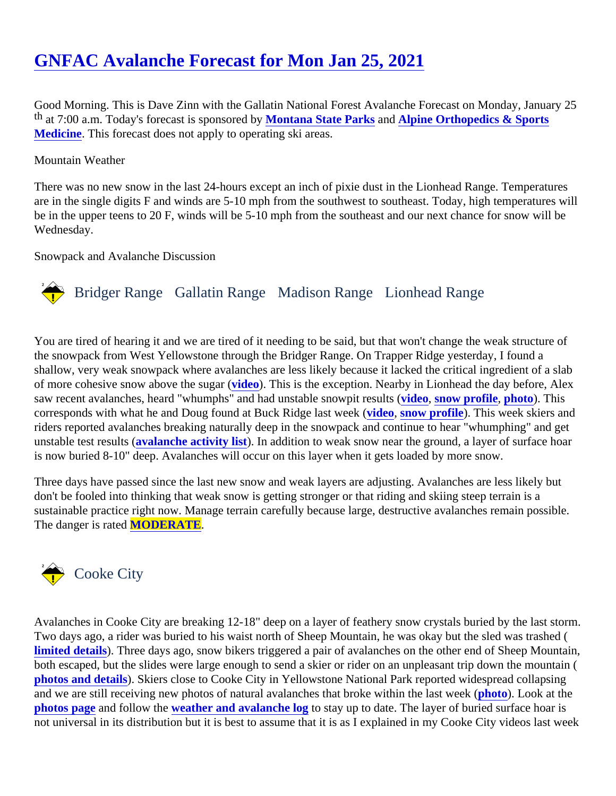# [GNFAC Avalanche Forecast for Mon Jan 25, 202](https://www.mtavalanche.com/forecast/21/01/25)1

Good Morning. This is Dave Zinn with the Gallatin National Forest Avalanche Forecast on Monday, January 25 th at 7:00 a.m. Today's forecast is sponsore Montana State Parks an[d Alpine Orthopedics & Sports](http://alpineorthopedics.com/) [Medicine](http://alpineorthopedics.com/). This forecast does not apply to operating ski areas.

#### Mountain Weather

There was no new snow in the last 24-hours except an inch of pixie dust in the Lionhead Range. Temperature are in the single digits F and winds are 5-10 mph from the southwest to southeast. Today, high temperatures be in the upper teens to 20 F, winds will be 5-10 mph from the southeast and our next chance for snow will be Wednesday.

Snowpack and Avalanche Discussion

## Bridger Range Gallatin Range Madison RangeLionhead Range

You are tired of hearing it and we are tired of it needing to be said, but that won't change the weak structure o the snowpack from West Yellowstone through the Bridger Range. On Trapper Ridge yesterday, I found a shallow, very weak snowpack where avalanches are less likely because it lacked the critical ingredient of a sl of more cohesive snow above the sugardo). This is the exception. Nearby in Lionhead the day before, Alex saw recent avalanches, heard "whumphs" and had unstable snowpit vested ts (ow profile, [photo](https://www.mtavalanche.com/images/21/natural-avalanche-near-lionhead)). This corresponds with what he and Doug found at Buck Ridge last week, snow profile). This [week](https://youtu.be/fUK0nUTBSvU) skiers and riders reported avalanches breaking naturally deep in the snowpack and continue to hear "whumphing" and g unstable test resulta (alanche activity list). In addition to weak snow near the ground, a layer of surface hoar is now buried 8-10" deep. Avalanches will occur on this layer when it gets loaded by more snow.

Three days have passed since the last new snow and weak layers are adjusting. Avalanches are less likely b don't be fooled into thinking that weak snow is getting stronger or that riding and skiing steep terrain is a sustainable practice right now. Manage terrain carefully because large, destructive avalanches remain possib The danger is rateMODERATE.

## Cooke City

Avalanches in Cooke City are breaking 12-18" deep on a layer of feathery snow crystals buried by the last sto Two days ago, a rider was buried to his waist north of Sheep Mountain, he was okay but the sled was trashed [limited details](https://www.mtavalanche.com/node/23885)). Three days ago, snow bikers triggered a pair of avalanches on the other end of Sheep Mount both escaped, but the slides were large enough to send a skier or rider on an unpleasant trip down the mount photos and detail). Skiers close to Cooke City in Yellowstone National Park reported widespread collapsing and we are still receiving new photos of natural avalanches that broke within the la[st wee](https://mtavalanche.com/images/21/republic-mountain-avalanche)k Look at the [photos page](https://mtavalanche.com/photos)and follow th[e weather and avalanche lo](https://mtavalanche.com/weather/wx-avalanche-log)gostay up to date. The layer of buried surface hoar is not universal in its distribution but it is best to assume that it is as I explained in my Cooke City videos last we